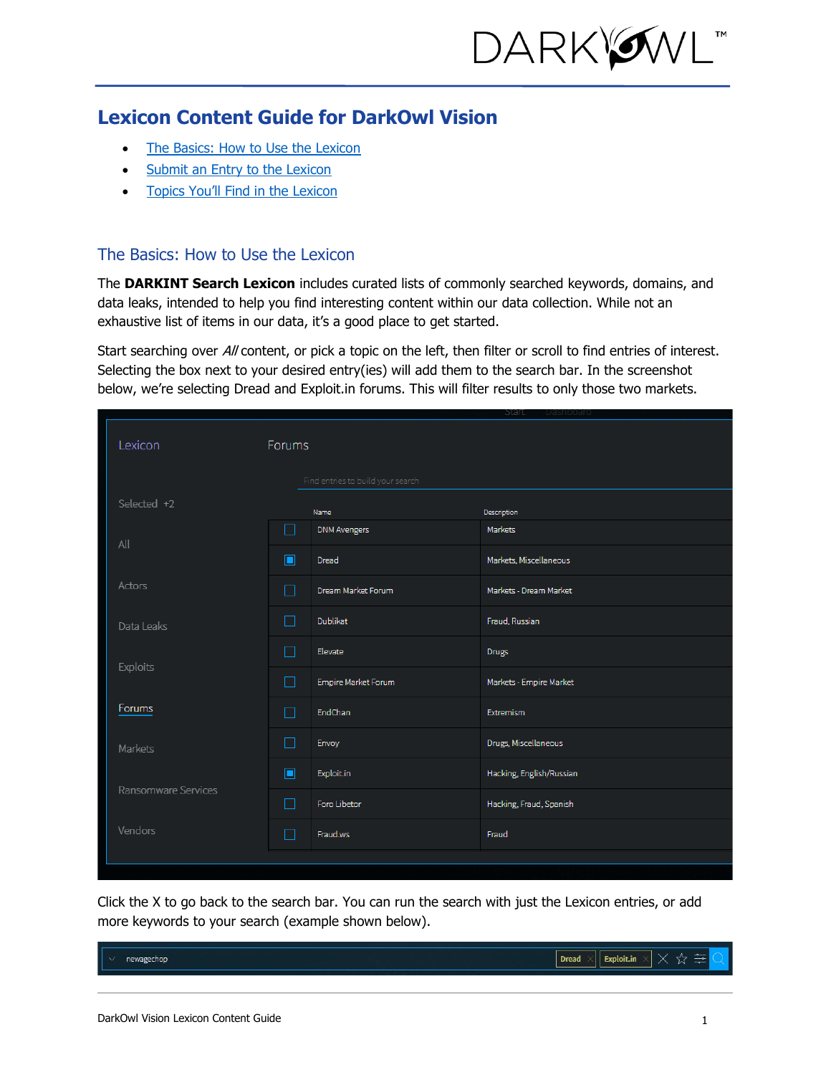

# **Lexicon Content Guide for DarkOwl Vision**

- [The Basics: How to Use the Lexicon](#page-0-0)
- [Submit an Entry to the Lexicon](#page-1-0)
- Topics [You'll Find in the Lexicon](#page-1-1)

### <span id="page-0-0"></span>The Basics: How to Use the Lexicon

The **DARKINT Search Lexicon** includes curated lists of commonly searched keywords, domains, and data leaks, intended to help you find interesting content within our data collection. While not an exhaustive list of items in our data, it's a good place to get started.

Start searching over All content, or pick a topic on the left, then filter or scroll to find entries of interest. Selecting the box next to your desired entry(ies) will add them to the search bar. In the screenshot below, we're selecting Dread and Exploit.in forums. This will filter results to only those two markets.

|                     |               |                                   | praud                    |
|---------------------|---------------|-----------------------------------|--------------------------|
| Lexicon             | <b>Forums</b> |                                   |                          |
|                     |               | Find entries to build your search |                          |
| Selected +2         |               | Name                              | Description              |
| All                 | ┓             | <b>DNM Avengers</b>               | Markets                  |
|                     | $\Box$        | Dread                             | Markets, Miscellaneous   |
| Actors              | ┓             | Dream Market Forum                | Markets - Dream Market   |
| Data Leaks          | $\Box$        | <b>Dublikat</b>                   | Fraud, Russian           |
| Exploits            | ┓             | Elevate                           | <b>Drugs</b>             |
|                     | $\Box$        | Empire Market Forum               | Markets - Empire Market  |
| Forums              | ┓             | EndChan                           | Extremism                |
| Markets             | $\Box$        | Envoy                             | Drugs, Miscellaneous     |
| Ransomware Services | $\Box$        | Exploit.in                        | Hacking, English/Russian |
|                     | $\Box$        | Foro Libetor                      | Hacking, Fraud, Spanish  |
| Vendors             | ┓             | Fraud.ws                          | Fraud                    |
|                     |               |                                   |                          |
|                     |               |                                   |                          |

Click the X to go back to the search bar. You can run the search with just the Lexicon entries, or add more keywords to your search (example shown below).

| I<br><br>wagechop | <b>CALL IN</b><br><b>Dread</b><br>Exploit.in<br>-- |
|-------------------|----------------------------------------------------|
|                   |                                                    |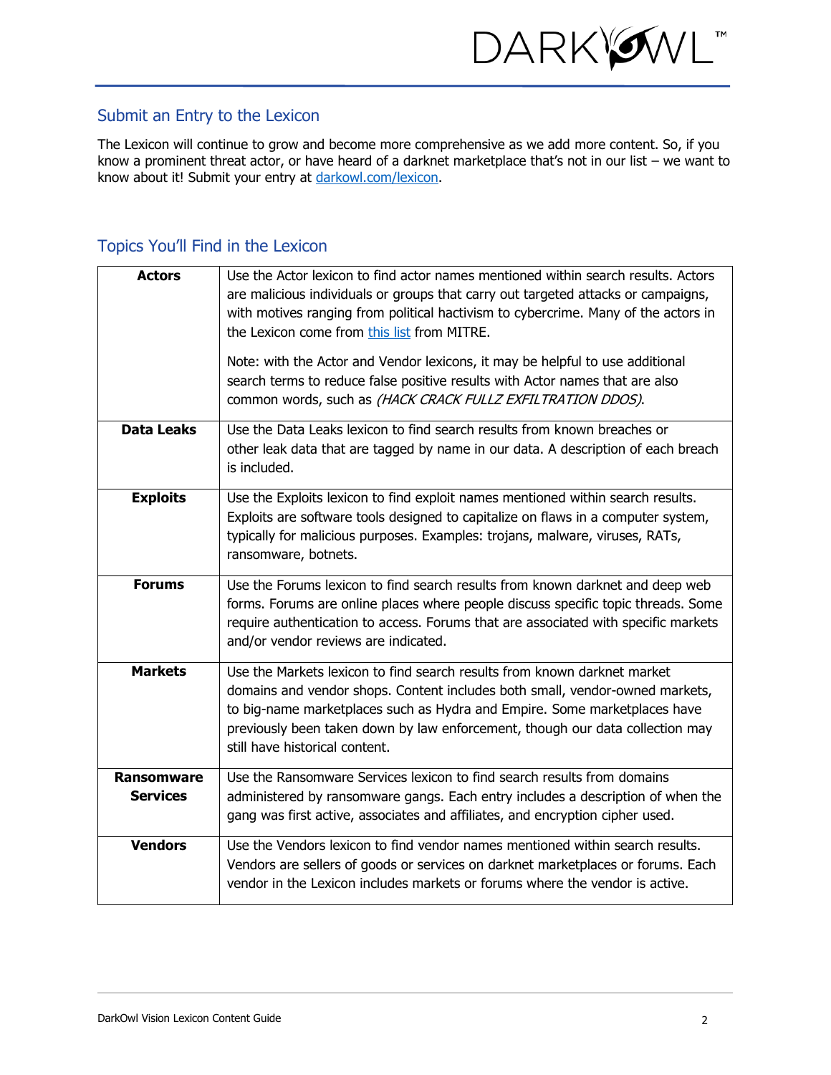

### <span id="page-1-0"></span>Submit an Entry to the Lexicon

The Lexicon will continue to grow and become more comprehensive as we add more content. So, if you know a prominent threat actor, or have heard of a darknet marketplace that's not in our list – we want to know about it! Submit your entry at [darkowl.com/lexicon.](https://www.darkowl.com/lexicon)

## <span id="page-1-1"></span>Topics You'll Find in the Lexicon

| <b>Actors</b>                 | Use the Actor lexicon to find actor names mentioned within search results. Actors<br>are malicious individuals or groups that carry out targeted attacks or campaigns,<br>with motives ranging from political hactivism to cybercrime. Many of the actors in<br>the Lexicon come from this list from MITRE.<br>Note: with the Actor and Vendor lexicons, it may be helpful to use additional<br>search terms to reduce false positive results with Actor names that are also<br>common words, such as (HACK CRACK FULLZ EXFILTRATION DDOS). |
|-------------------------------|---------------------------------------------------------------------------------------------------------------------------------------------------------------------------------------------------------------------------------------------------------------------------------------------------------------------------------------------------------------------------------------------------------------------------------------------------------------------------------------------------------------------------------------------|
| <b>Data Leaks</b>             | Use the Data Leaks lexicon to find search results from known breaches or<br>other leak data that are tagged by name in our data. A description of each breach<br>is included.                                                                                                                                                                                                                                                                                                                                                               |
| <b>Exploits</b>               | Use the Exploits lexicon to find exploit names mentioned within search results.<br>Exploits are software tools designed to capitalize on flaws in a computer system,<br>typically for malicious purposes. Examples: trojans, malware, viruses, RATs,<br>ransomware, botnets.                                                                                                                                                                                                                                                                |
| <b>Forums</b>                 | Use the Forums lexicon to find search results from known darknet and deep web<br>forms. Forums are online places where people discuss specific topic threads. Some<br>require authentication to access. Forums that are associated with specific markets<br>and/or vendor reviews are indicated.                                                                                                                                                                                                                                            |
| <b>Markets</b>                | Use the Markets lexicon to find search results from known darknet market<br>domains and vendor shops. Content includes both small, vendor-owned markets,<br>to big-name marketplaces such as Hydra and Empire. Some marketplaces have<br>previously been taken down by law enforcement, though our data collection may<br>still have historical content.                                                                                                                                                                                    |
| Ransomware<br><b>Services</b> | Use the Ransomware Services lexicon to find search results from domains<br>administered by ransomware gangs. Each entry includes a description of when the<br>gang was first active, associates and affiliates, and encryption cipher used.                                                                                                                                                                                                                                                                                                 |
| <b>Vendors</b>                | Use the Vendors lexicon to find vendor names mentioned within search results.<br>Vendors are sellers of goods or services on darknet marketplaces or forums. Each<br>vendor in the Lexicon includes markets or forums where the vendor is active.                                                                                                                                                                                                                                                                                           |